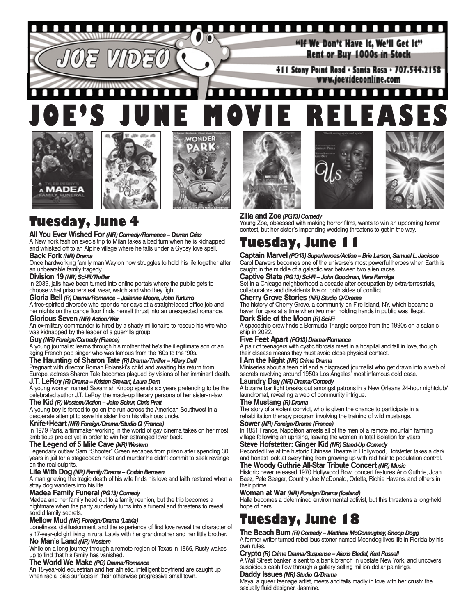

# *AADEA*





# **Tuesday, June 4**

### **All You Ever Wished For***(NR) Comedy/Romance – Darren Criss*

A New York fashion exec's trip to Milan takes a bad turn when he is kidnapped and whisked off to an Alpine village where he falls under a Gypsy love spell.

### **Back Fork** *(NR) Drama*

Once hardworking family man Waylon now struggles to hold his life together after an unbearable family tragedy.

### **Division 19** *(NR) Sci-Fi/Thriller*

In 2039, jails have been turned into online portals where the public gets to choose what prisoners eat, wear, watch and who they fight.

**Gloria Bell** *(R) Drama/Romance – Julianne Moore, John Turturro*

A free-spirited divorcée who spends her days at a straight-laced office job and her nights on the dance floor finds herself thrust into an unexpected romance.

### **Glorious Seven** *(NR) Action/War*

An ex-military commander is hired by a shady millionaire to rescue his wife who was kidnapped by the leader of a guerrilla group.

### **Guy** *(NR) Foreign/Comedy (France)*

A young journalist learns through his mother that he's the illegitimate son of an aging French pop singer who was famous from the '60s to the '90s.

### **The Haunting of Sharon Tate** *(R) Drama/Thriller – Hilary Duff*

Pregnant with director Roman Polanski's child and awaiting his return from Europe, actress Sharon Tate becomes plagued by visions of her imminent death.

### **J.T. LeRoy** *(R) Drama – Kristen Stewart, Laura Dern*

A young woman named Savannah Knoop spends six years pretending to be the celebrated author J.T. LeRoy, the made-up literary persona of her sister-in-law.

## **The Kid** *(R) Western/Action – Jake Schur, Chris Pratt*

A young boy is forced to go on the run across the American Southwest in a desperate attempt to save his sister from his villainous uncle.

### **Knife+Heart** *(NR) Foreign/Drama/Studio Q (France)*

In 1979 Paris, a filmmaker working in the world of gay cinema takes on her most ambitious project yet in order to win her estranged lover back.

### **The Legend of 5 Mile Cave** *(NR) Western*

Legendary outlaw Sam "Shooter" Green escapes from prison after spending 30 years in jail for a stagecoach heist and murder he didn't commit to seek revenge on the real culprits.

### **Life With Dog** *(NR) Family/Drama – Corbin Bernsen*

A man grieving the tragic death of his wife finds his love and faith restored when a stray dog wanders into his life.

### **Madea Family Funeral** *(PG13) Comedy*

Madea and her family head out to a family reunion, but the trip becomes a nightmare when the party suddenly turns into a funeral and threatens to reveal sordid family secrets.

### **Mellow Mud** *(NR) Foreign/Drama (Latvia)*

Loneliness, disillusionment, and the experience of first love reveal the character of a 17-year-old girl living in rural Latvia with her grandmother and her little brother.

### **No Man's Land** *(NR) Western*

While on a long journey through a remote region of Texas in 1866, Rusty wakes up to find that his family has vanished.

### **The World We Make** *(PG) Drama/Romance*

An 18-year-old equestrian and her athletic, intelligent boyfriend are caught up when racial bias surfaces in their otherwise progressive small town.







### **Zilla and Zoe** *(PG13) Comedy*

Young Zoe, obsessed with making horror films, wants to win an upcoming horror contest, but her sister's impending wedding threatens to get in the way.

# **Tuesday, June 11**

**Captain Marvel** *(PG13) Superheroes/Action – Brie Larson, Samuel L. Jackson* Carol Danvers becomes one of the universe's most powerful heroes when Earth is caught in the middle of a galactic war between two alien races.

### **Captive State** *(PG13) Sci-Fi – John Goodman, Vera Farmiga*

Set in a Chicago neighborhood a decade after occupation by extra-terrestrials, collaborators and dissidents live on both sides of conflict.

### **Cherry Grove Stories** *(NR) Studio Q/Drama*

The history of Cherry Grove, a community on Fire Island, NY, which became a haven for gays at a time when two men holding hands in public was illegal. **Dark Side of the Moon** *(R) Sci-Fi*

A spaceship crew finds a Bermuda Triangle corpse from the 1990s on a satanic ship in 2022.

### **Five Feet Apart** *(PG13) Drama/Romance*

A pair of teenagers with cystic fibrosis meet in a hospital and fall in love, though their disease means they must avoid close physical contact.

### **I Am the Night** *(NR) Crime Drama*

Miniseries about a teen girl and a disgraced journalist who get drawn into a web of secrets revolving around 1950s Los Angeles' most infamous cold case.

## **Laundry Day** *(NR) Drama/Comedy*

A bizarre bar fight breaks out amongst patrons in a New Orleans 24-hour nightclub/ laundromat, revealing a web of community intrigue.

### **The Mustang** *(R) Drama*

The story of a violent convict, who is given the chance to participate in a rehabilitation therapy program involving the training of wild mustangs.

### **Sower** *(NR) Foreign/Drama (France)*

In 1851 France, Napoléon arrests all of the men of a remote mountain farming village following an uprising, leaving the women in total isolation for years.

### **Steve Hofstetter: Ginger Kid** *(NR) Stand-Up Comedy*

Recorded live at the historic Chinese Theatre in Hollywood, Hofstetter takes a dark and honest look at everything from growing up with red hair to population control. **The Woody Guthrie All-Star Tribute Concert** *(NR) Music*

Historic never released 1970 Hollywood Bowl concert features Arlo Guthrie, Joan Baez, Pete Seeger, Country Joe McDonald, Odetta, Richie Havens, and others in their prime.

### **Woman at War** *(NR) Foreign/Drama (Iceland)*

Halla becomes a determined environmental activist, but this threatens a long-held hope of hers.

# **Tuesday, June 18**

### **The Beach Bum** *(R) Comedy – Matthew McConaughey, Snoop Dogg*

A former writer turned rebellious stoner named Moondog lives life in Florida by his own rules.

### **Crypto** *(R) Crime Drama/Suspense – Alexis Bledel, Kurt Russell*

A Wall Street banker is sent to a bank branch in upstate New York, and uncovers suspicious cash flow through a gallery selling million-dollar paintings.

### **Daddy Issues** *(NR) Studio Q/Drama*

Maya, a queer teenage artist, meets and falls madly in love with her crush: the sexually fluid designer, Jasmine.